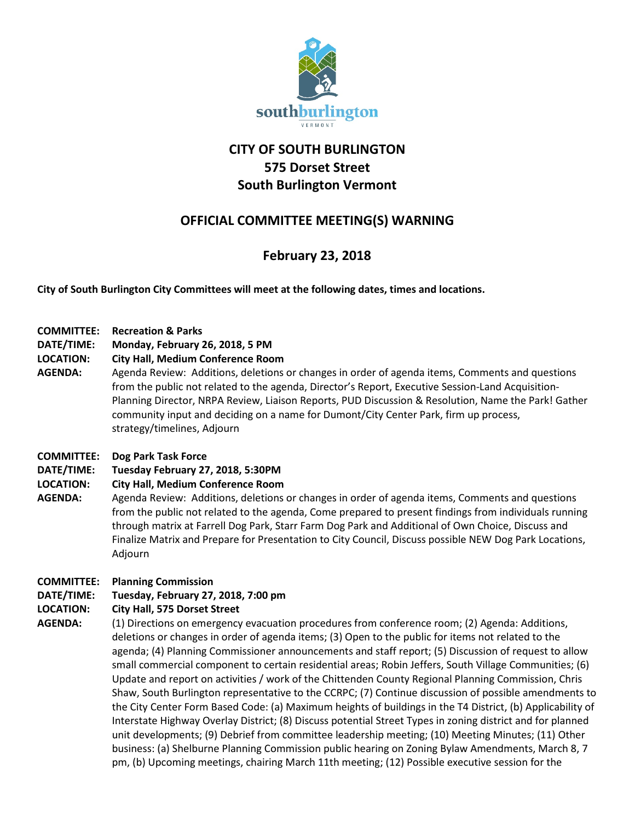

# **CITY OF SOUTH BURLINGTON 575 Dorset Street South Burlington Vermont**

## **OFFICIAL COMMITTEE MEETING(S) WARNING**

## **February 23, 2018**

**City of South Burlington City Committees will meet at the following dates, times and locations.** 

## **COMMITTEE: Recreation & Parks**

- **DATE/TIME: Monday, February 26, 2018, 5 PM**
- **LOCATION: City Hall, Medium Conference Room**
- **AGENDA:** Agenda Review: Additions, deletions or changes in order of agenda items, Comments and questions from the public not related to the agenda, Director's Report, Executive Session-Land Acquisition-Planning Director, NRPA Review, Liaison Reports, PUD Discussion & Resolution, Name the Park! Gather community input and deciding on a name for Dumont/City Center Park, firm up process, strategy/timelines, Adjourn

## **COMMITTEE: Dog Park Task Force**

**DATE/TIME: Tuesday February 27, 2018, 5:30PM**

## **LOCATION: City Hall, Medium Conference Room**

**AGENDA:** Agenda Review: Additions, deletions or changes in order of agenda items, Comments and questions from the public not related to the agenda, Come prepared to present findings from individuals running through matrix at Farrell Dog Park, Starr Farm Dog Park and Additional of Own Choice, Discuss and Finalize Matrix and Prepare for Presentation to City Council, Discuss possible NEW Dog Park Locations, Adjourn

## **COMMITTEE: Planning Commission**

## **DATE/TIME: Tuesday, February 27, 2018, 7:00 pm**

## **LOCATION: City Hall, 575 Dorset Street**

**AGENDA:** (1) Directions on emergency evacuation procedures from conference room; (2) Agenda: Additions, deletions or changes in order of agenda items; (3) Open to the public for items not related to the agenda; (4) Planning Commissioner announcements and staff report; (5) Discussion of request to allow small commercial component to certain residential areas; Robin Jeffers, South Village Communities; (6) Update and report on activities / work of the Chittenden County Regional Planning Commission, Chris Shaw, South Burlington representative to the CCRPC; (7) Continue discussion of possible amendments to the City Center Form Based Code: (a) Maximum heights of buildings in the T4 District, (b) Applicability of Interstate Highway Overlay District; (8) Discuss potential Street Types in zoning district and for planned unit developments; (9) Debrief from committee leadership meeting; (10) Meeting Minutes; (11) Other business: (a) Shelburne Planning Commission public hearing on Zoning Bylaw Amendments, March 8, 7 pm, (b) Upcoming meetings, chairing March 11th meeting; (12) Possible executive session for the